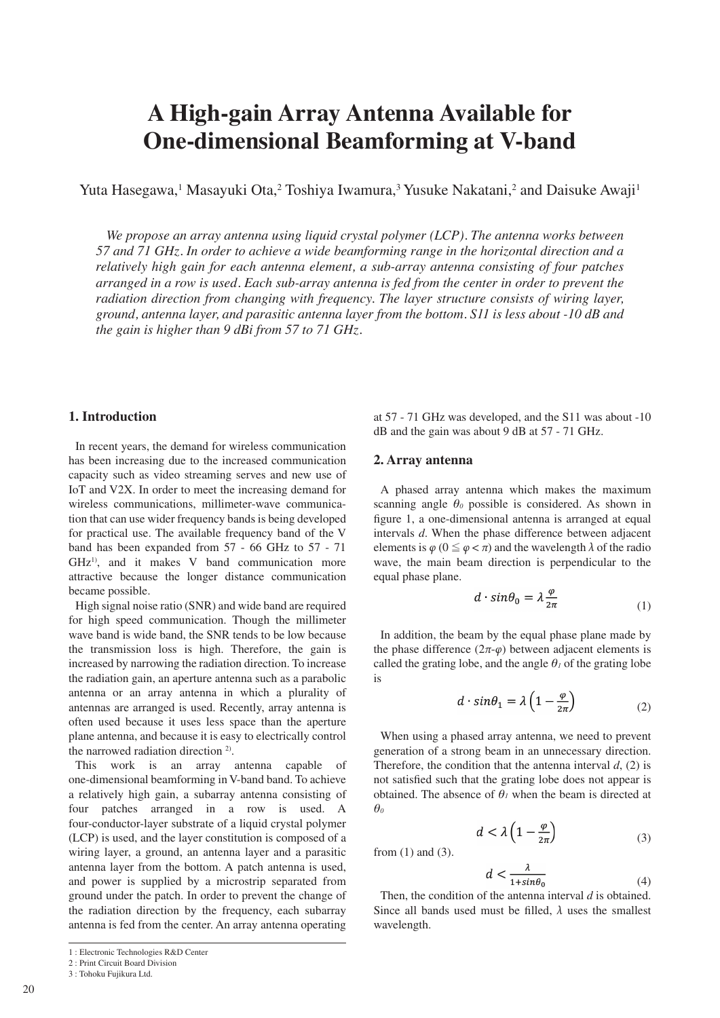# **A High-gain Array Antenna Available for One-dimensional Beamforming at V-band**

Yuta Hasegawa,<sup>1</sup> Masayuki Ota,<sup>2</sup> Toshiya Iwamura,<sup>3</sup> Yusuke Nakatani,<sup>2</sup> and Daisuke Awaji<sup>1</sup>

*We propose an array antenna using liquid crystal polymer (LCP). The antenna works between 57 and 71 GHz. In order to achieve a wide beamforming range in the horizontal direction and a relatively high gain for each antenna element, a sub-array antenna consisting of four patches arranged in a row is used. Each sub-array antenna is fed from the center in order to prevent the radiation direction from changing with frequency. The layer structure consists of wiring layer, ground, antenna layer, and parasitic antenna layer from the bottom. S11 is less about -10 dB and the gain is higher than 9 dBi from 57 to 71 GHz.*

# **1. Introduction**

In recent years, the demand for wireless communication has been increasing due to the increased communication capacity such as video streaming serves and new use of IoT and V2X. In order to meet the increasing demand for wireless communications, millimeter-wave communication that can use wider frequency bands is being developed for practical use. The available frequency band of the V band has been expanded from 57 - 66 GHz to 57 - 71 GHz<sup>1)</sup>, and it makes V band communication more attractive because the longer distance communication became possible.

High signal noise ratio (SNR) and wide band are required for high speed communication. Though the millimeter wave band is wide band, the SNR tends to be low because the transmission loss is high. Therefore, the gain is increased by narrowing the radiation direction. To increase the radiation gain, an aperture antenna such as a parabolic antenna or an array antenna in which a plurality of antennas are arranged is used. Recently, array antenna is often used because it uses less space than the aperture plane antenna, and because it is easy to electrically control the narrowed radiation direction <sup>2)</sup>.

This work is an array antenna capable of one-dimensional beamforming in V-band band. To achieve a relatively high gain, a subarray antenna consisting of four patches arranged in a row is used. A four-conductor-layer substrate of a liquid crystal polymer (LCP) is used, and the layer constitution is composed of a wiring layer, a ground, an antenna layer and a parasitic antenna layer from the bottom. A patch antenna is used, and power is supplied by a microstrip separated from ground under the patch. In order to prevent the change of the radiation direction by the frequency, each subarray antenna is fed from the center. An array antenna operating

3 : Tohoku Fujikura Ltd.

at 57 - 71 GHz was developed, and the S11 was about -10 dB and the gain was about 9 dB at 57 - 71 GHz.

### **2. Array antenna**

A phased array antenna which makes the maximum scanning angle  $\theta_0$  possible is considered. As shown in figure 1, a one-dimensional antenna is arranged at equal intervals *d*. When the phase difference between adjacent elements is  $\varphi$  ( $0 \leq \varphi < \pi$ ) and the wavelength  $\lambda$  of the radio wave, the main beam direction is perpendicular to the equal phase plane.

$$
d \cdot \sin \theta_0 = \lambda \frac{\varphi}{2\pi} \tag{1}
$$

In addition, the beam by the equal phase plane made by the phase difference  $(2\pi-\varphi)$  between adjacent elements is called the grating lobe, and the angle  $\theta$ <sup>*l*</sup> of the grating lobe is

$$
d \cdot \sin \theta_1 = \lambda \left( 1 - \frac{\varphi}{2\pi} \right) \tag{2}
$$

When using a phased array antenna, we need to prevent generation of a strong beam in an unnecessary direction. Therefore, the condition that the antenna interval *d*, (2) is not satisfied such that the grating lobe does not appear is obtained. The absence of  $\theta$ <sup>*l*</sup> when the beam is directed at *θ*<sub>0</sub>

$$
d < \lambda \left( 1 - \frac{\varphi}{2\pi} \right) \tag{3}
$$

from (1) and (3).

$$
d < \frac{\lambda}{1 + \sin \theta_0} \tag{4}
$$

Then, the condition of the antenna interval *d* is obtained. Since all bands used must be filled, *λ* uses the smallest wavelength.

<sup>1 :</sup> Electronic Technologies R&D Center

<sup>2 :</sup> Print Circuit Board Division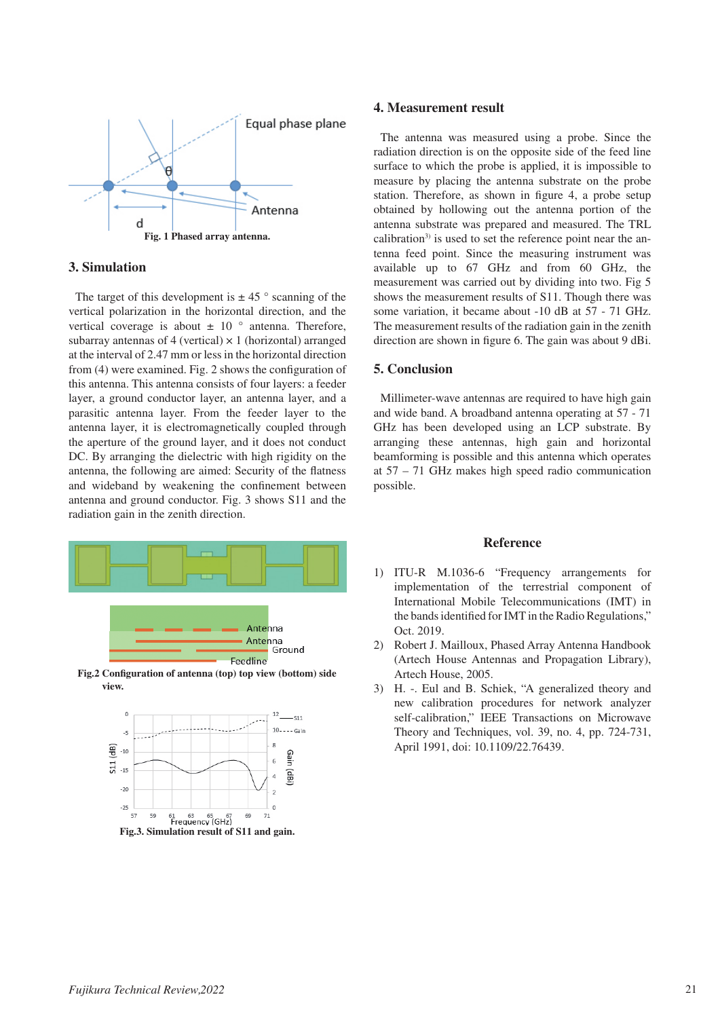

#### **3. Simulation**

The target of this development is  $\pm 45$  ° scanning of the vertical polarization in the horizontal direction, and the vertical coverage is about  $\pm$  10  $\degree$  antenna. Therefore, subarray antennas of 4 (vertical)  $\times$  1 (horizontal) arranged at the interval of 2.47 mm or less in the horizontal direction from (4) were examined. Fig. 2 shows the configuration of this antenna. This antenna consists of four layers: a feeder layer, a ground conductor layer, an antenna layer, and a parasitic antenna layer. From the feeder layer to the antenna layer, it is electromagnetically coupled through the aperture of the ground layer, and it does not conduct DC. By arranging the dielectric with high rigidity on the antenna, the following are aimed: Security of the flatness and wideband by weakening the confinement between antenna and ground conductor. Fig. 3 shows S11 and the radiation gain in the zenith direction.





#### **4. Measurement result**

The antenna was measured using a probe. Since the radiation direction is on the opposite side of the feed line surface to which the probe is applied, it is impossible to measure by placing the antenna substrate on the probe station. Therefore, as shown in figure 4, a probe setup obtained by hollowing out the antenna portion of the antenna substrate was prepared and measured. The TRL calibration $3$  is used to set the reference point near the antenna feed point. Since the measuring instrument was available up to 67 GHz and from 60 GHz, the measurement was carried out by dividing into two. Fig 5 shows the measurement results of S11. Though there was some variation, it became about -10 dB at 57 - 71 GHz. The measurement results of the radiation gain in the zenith direction are shown in figure 6. The gain was about 9 dBi.

## **5. Conclusion**

Millimeter-wave antennas are required to have high gain and wide band. A broadband antenna operating at 57 - 71 GHz has been developed using an LCP substrate. By arranging these antennas, high gain and horizontal beamforming is possible and this antenna which operates at 57 – 71 GHz makes high speed radio communication possible.

#### **Reference**

- 1) ITU-R M.1036-6 "Frequency arrangements for implementation of the terrestrial component of International Mobile Telecommunications (IMT) in the bands identified for IMT in the Radio Regulations," Oct. 2019.
- 2) Robert J. Mailloux, Phased Array Antenna Handbook (Artech House Antennas and Propagation Library), Artech House, 2005.
- 3) H. -. Eul and B. Schiek, "A generalized theory and new calibration procedures for network analyzer self-calibration," IEEE Transactions on Microwave Theory and Techniques, vol. 39, no. 4, pp. 724-731, April 1991, doi: 10.1109/22.76439.